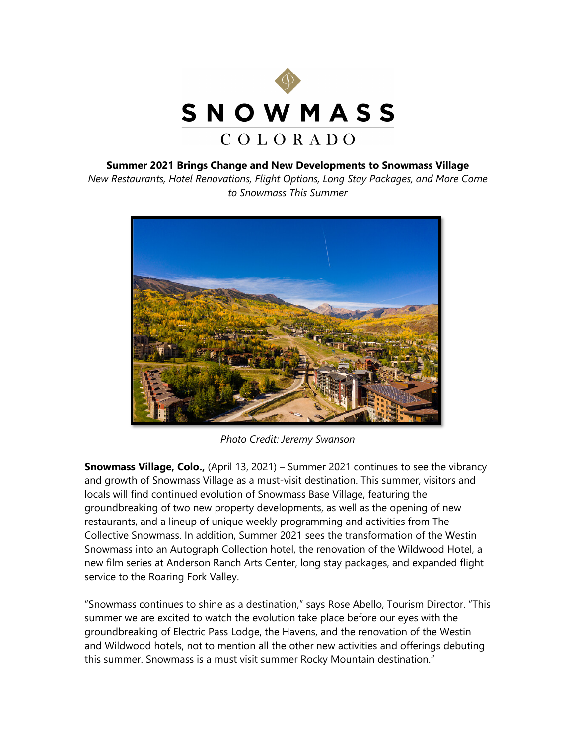

### **Summer 2021 Brings Change and New Developments to Snowmass Village**

*New Restaurants, Hotel Renovations, Flight Options, Long Stay Packages, and More Come to Snowmass This Summer*



*Photo Credit: Jeremy Swanson* 

**Snowmass Village, Colo.,** (April 13, 2021) – Summer 2021 continues to see the vibrancy and growth of Snowmass Village as a must-visit destination. This summer, visitors and locals will find continued evolution of Snowmass Base Village, featuring the groundbreaking of two new property developments, as well as the opening of new restaurants, and a lineup of unique weekly programming and activities from The Collective Snowmass. In addition, Summer 2021 sees the transformation of the Westin Snowmass into an Autograph Collection hotel, the renovation of the Wildwood Hotel, a new film series at Anderson Ranch Arts Center, long stay packages, and expanded flight service to the Roaring Fork Valley.

"Snowmass continues to shine as a destination," says Rose Abello, Tourism Director. "This summer we are excited to watch the evolution take place before our eyes with the groundbreaking of Electric Pass Lodge, the Havens, and the renovation of the Westin and Wildwood hotels, not to mention all the other new activities and offerings debuting this summer. Snowmass is a must visit summer Rocky Mountain destination."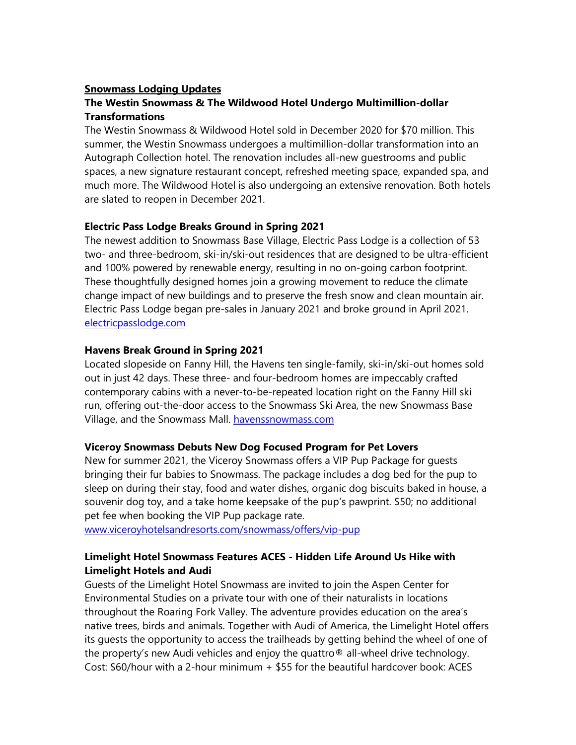### **Snowmass Lodging Updates**

# **The Westin Snowmass & The Wildwood Hotel Undergo Multimillion-dollar Transformations**

The Westin Snowmass & Wildwood Hotel sold in December 2020 for \$70 million. This summer, the Westin Snowmass undergoes a multimillion-dollar transformation into an Autograph Collection hotel. The renovation includes all-new guestrooms and public spaces, a new signature restaurant concept, refreshed meeting space, expanded spa, and much more. The Wildwood Hotel is also undergoing an extensive renovation. Both hotels are slated to reopen in December 2021.

### **Electric Pass Lodge Breaks Ground in Spring 2021**

The newest addition to Snowmass Base Village, Electric Pass Lodge is a collection of 53 two- and three-bedroom, ski-in/ski-out residences that are designed to be ultra-efficient and 100% powered by renewable energy, resulting in no on-going carbon footprint. These thoughtfully designed homes join a growing movement to reduce the climate change impact of new buildings and to preserve the fresh snow and clean mountain air. Electric Pass Lodge began pre-sales in January 2021 and broke ground in April 2021. [electricpasslodge.com](https://nam02.safelinks.protection.outlook.com/?url=https%3A%2F%2Felectricpasslodge.com%2F&data=04%7C01%7CSHyde%40ewpartners.com%7Ccb5f2e85453c48f1155608d8b7174711%7C9c72f423d2774df68e67a8069954bd38%7C0%7C0%7C637460657900546041%7CUnknown%7CTWFpbGZsb3d8eyJWIjoiMC4wLjAwMDAiLCJQIjoiV2luMzIiLCJBTiI6Ik1haWwiLCJXVCI6Mn0%3D%7C1000&sdata=L6cSPpgpaM1IqrpfhIebKkYelPhxr1Ov4BxN0cf8f4Q%3D&reserved=0)

### **Havens Break Ground in Spring 2021**

Located slopeside on Fanny Hill, the Havens ten single-family, ski-in/ski-out homes sold out in just 42 days. These three- and four-bedroom homes are impeccably crafted contemporary cabins with a never-to-be-repeated location right on the Fanny Hill ski run, offering out-the-door access to the Snowmass Ski Area, the new Snowmass Base Village, and the Snowmass Mall. [havenssnowmass.com](https://havenssnowmass.com/)

### **Viceroy Snowmass Debuts New Dog Focused Program for Pet Lovers**

New for summer 2021, the Viceroy Snowmass offers a VIP Pup Package for guests bringing their fur babies to Snowmass. The package includes a dog bed for the pup to sleep on during their stay, food and water dishes, organic dog biscuits baked in house, a souvenir dog toy, and a take home keepsake of the pup's pawprint. \$50; no additional pet fee when booking the VIP Pup package rate.

[www.viceroyhotelsandresorts.com/snowmass/offers/vip-pup](http://www.viceroyhotelsandresorts.com/snowmass/offers/vip-pup)

# **Limelight Hotel Snowmass Features ACES - Hidden Life Around Us Hike with Limelight Hotels and Audi**

Guests of the Limelight Hotel Snowmass are invited to join the Aspen Center for Environmental Studies on a private tour with one of their naturalists in locations throughout the Roaring Fork Valley. The adventure provides education on the area's native trees, birds and animals. Together with Audi of America, the Limelight Hotel offers its guests the opportunity to access the trailheads by getting behind the wheel of one of the property's new Audi vehicles and enjoy the quattro® all-wheel drive technology. Cost: \$60/hour with a 2-hour minimum + \$55 for the beautiful hardcover book: ACES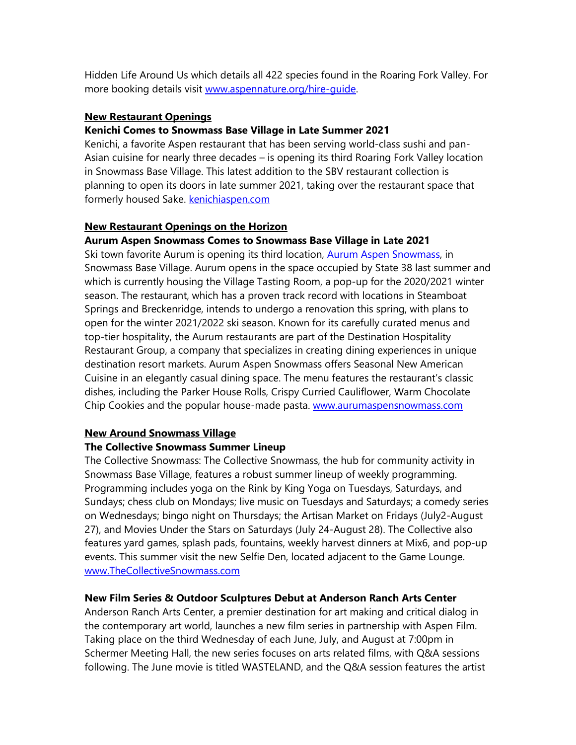Hidden Life Around Us which details all 422 species found in the Roaring Fork Valley. For more booking details visit [www.aspennature.org/hire-guide.](http://www.aspennature.org/hire-guide) 

### **New Restaurant Openings**

### **Kenichi Comes to Snowmass Base Village in Late Summer 2021**

Kenichi, a favorite Aspen restaurant that has been serving world-class sushi and pan-Asian cuisine for nearly three decades – is opening its third Roaring Fork Valley location in Snowmass Base Village. This latest addition to the SBV restaurant collection is planning to open its doors in late summer 2021, taking over the restaurant space that formerly housed Sake. [kenichiaspen.com](http://kenichiaspen.com/)

### **New Restaurant Openings on the Horizon**

### **Aurum Aspen Snowmass Comes to Snowmass Base Village in Late 2021**

Ski town favorite Aurum is opening its third location, [Aurum Aspen Snowmass,](https://www.aurumaspensnowmass.com/) in Snowmass Base Village. Aurum opens in the space occupied by State 38 last summer and which is currently housing the Village Tasting Room, a pop-up for the 2020/2021 winter season. The restaurant, which has a proven track record with locations in Steamboat Springs and Breckenridge, intends to undergo a renovation this spring, with plans to open for the winter 2021/2022 ski season. Known for its carefully curated menus and top-tier hospitality, the Aurum restaurants are part of the Destination Hospitality Restaurant Group, a company that specializes in creating dining experiences in unique destination resort markets. Aurum Aspen Snowmass offers Seasonal New American Cuisine in an elegantly casual dining space. The menu features the restaurant's classic dishes, including the Parker House Rolls, Crispy Curried Cauliflower, Warm Chocolate Chip Cookies and the popular house-made pasta. [www.aurumaspensnowmass.com](http://www.aurumaspensnowmass.com/)

### **New Around Snowmass Village**

### **The Collective Snowmass Summer Lineup**

The Collective Snowmass: The Collective Snowmass, the hub for community activity in Snowmass Base Village, features a robust summer lineup of weekly programming. Programming includes yoga on the Rink by King Yoga on Tuesdays, Saturdays, and Sundays; chess club on Mondays; live music on Tuesdays and Saturdays; a comedy series on Wednesdays; bingo night on Thursdays; the Artisan Market on Fridays (July2-August 27), and Movies Under the Stars on Saturdays (July 24-August 28). The Collective also features yard games, splash pads, fountains, weekly harvest dinners at Mix6, and pop-up events. This summer visit the new Selfie Den, located adjacent to the Game Lounge. [www.TheCollectiveSnowmass.com](http://www.thecollectivesnowmass.com/)

### **New Film Series & Outdoor Sculptures Debut at Anderson Ranch Arts Center**

Anderson Ranch Arts Center, a premier destination for art making and critical dialog in the contemporary art world, launches a new film series in partnership with Aspen Film. Taking place on the third Wednesday of each June, July, and August at 7:00pm in Schermer Meeting Hall, the new series focuses on arts related films, with Q&A sessions following. The June movie is titled WASTELAND, and the Q&A session features the artist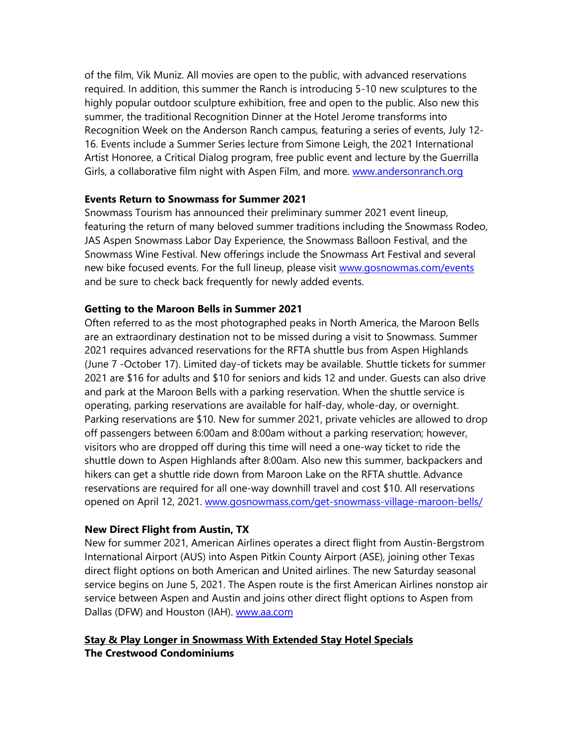of the film, Vik Muniz. All movies are open to the public, with advanced reservations required. In addition, this summer the Ranch is introducing 5-10 new sculptures to the highly popular outdoor sculpture exhibition, free and open to the public. Also new this summer, the traditional Recognition Dinner at the Hotel Jerome transforms into Recognition Week on the Anderson Ranch campus, featuring a series of events, July 12- 16. Events include a Summer Series lecture from Simone Leigh, the 2021 International Artist Honoree, a Critical Dialog program, free public event and lecture by the Guerrilla Girls, a collaborative film night with Aspen Film, and more. [www.andersonranch.org](http://www.andersonranch.org/)

### **Events Return to Snowmass for Summer 2021**

Snowmass Tourism has announced their preliminary summer 2021 event lineup, featuring the return of many beloved summer traditions including the Snowmass Rodeo, JAS Aspen Snowmass Labor Day Experience, the Snowmass Balloon Festival, and the Snowmass Wine Festival. New offerings include the Snowmass Art Festival and several new bike focused events. For the full lineup, please visit [www.gosnowmas.com/events](http://www.gosnowmas.com/events) and be sure to check back frequently for newly added events.

#### **Getting to the Maroon Bells in Summer 2021**

Often referred to as the most photographed peaks in North America, the Maroon Bells are an extraordinary destination not to be missed during a visit to Snowmass. Summer 2021 requires advanced reservations for the RFTA shuttle bus from Aspen Highlands (June 7 -October 17). Limited day-of tickets may be available. Shuttle tickets for summer 2021 are \$16 for adults and \$10 for seniors and kids 12 and under. Guests can also drive and park at the Maroon Bells with a parking reservation. When the shuttle service is operating, parking reservations are available for half-day, whole-day, or overnight. Parking reservations are \$10. New for summer 2021, private vehicles are allowed to drop off passengers between 6:00am and 8:00am without a parking reservation; however, visitors who are dropped off during this time will need a one-way ticket to ride the shuttle down to Aspen Highlands after 8:00am. Also new this summer, backpackers and hikers can get a shuttle ride down from Maroon Lake on the RFTA shuttle. Advance reservations are required for all one-way downhill travel and cost \$10. All reservations opened on April 12, 2021. [www.gosnowmass.com/get-snowmass-village-maroon-bells/](http://www.gosnowmass.com/get-snowmass-village-maroon-bells/)

### **New Direct Flight from Austin, TX**

New for summer 2021, American Airlines operates a direct flight from Austin-Bergstrom International Airport (AUS) into Aspen Pitkin County Airport (ASE), joining other Texas direct flight options on both American and United airlines. The new Saturday seasonal service begins on June 5, 2021. The Aspen route is the first American Airlines nonstop air service between Aspen and Austin and joins other direct flight options to Aspen from Dallas (DFW) and Houston (IAH). [www.aa.com](http://www.aa.com/)

# **Stay & Play Longer in Snowmass With Extended Stay Hotel Specials The Crestwood Condominiums**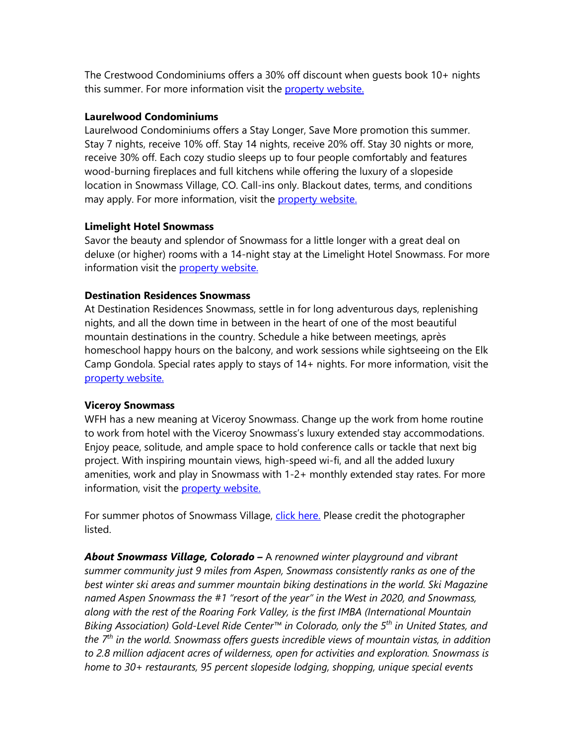The Crestwood Condominiums offers a 30% off discount when guests book 10+ nights this summer. For more information visit the [property website.](https://www.thecrestwood.com/work-from-snowmass/)

### **Laurelwood Condominiums**

Laurelwood Condominiums offers a Stay Longer, Save More promotion this summer. Stay 7 nights, receive 10% off. Stay 14 nights, receive 20% off. Stay 30 nights or more, receive 30% off. Each cozy studio sleeps up to four people comfortably and features wood-burning fireplaces and full kitchens while offering the luxury of a slopeside location in Snowmass Village, CO. Call-ins only. Blackout dates, terms, and conditions may apply. For more information, visit the [property website.](https://laurelwoodcondominiums.com/special-offers/)

### **Limelight Hotel Snowmass**

Savor the beauty and splendor of Snowmass for a little longer with a great deal on deluxe (or higher) rooms with a 14-night stay at the Limelight Hotel Snowmass. For more information visit the [property website.](https://www.limelighthotels.com/snowmass/offers/limelight-long-stay)

### **Destination Residences Snowmass**

At Destination Residences Snowmass, settle in for long adventurous days, replenishing nights, and all the down time in between in the heart of one of the most beautiful mountain destinations in the country. Schedule a hike between meetings, après homeschool happy hours on the balcony, and work sessions while sightseeing on the Elk Camp Gondola. Special rates apply to stays of 14+ nights. For more information, visit the [property website.](https://www.destinationhotels.com/destination-residences-snowmass/offers/long-term-stay-2020?src=prop_misc_denob_other_referral_gosnowmass)

### **Viceroy Snowmass**

WFH has a new meaning at Viceroy Snowmass. Change up the work from home routine to work from hotel with the Viceroy Snowmass's luxury extended stay accommodations. Enjoy peace, solitude, and ample space to hold conference calls or tackle that next big project. With inspiring mountain views, high-speed wi-fi, and all the added luxury amenities, work and play in Snowmass with 1-2+ monthly extended stay rates. For more information, visit the [property website.](https://www.viceroyhotelsandresorts.com/snowmass/offers/workspace)

For summer photos of Snowmass Village, [click here.](https://snowmasstourism.imagerelay.com/sb/a798f377-fc96-46c0-88b7-03439a4a78f1/snowmass-summer-2021-collection) Please credit the photographer listed.

*About Snowmass Village, Colorado –* A *renowned winter playground and vibrant summer community just 9 miles from Aspen, Snowmass consistently ranks as one of the best winter ski areas and summer mountain biking destinations in the world. Ski Magazine named Aspen Snowmass the #1 "resort of the year" in the West in 2020, and Snowmass, along with the rest of the Roaring Fork Valley, is the first IMBA (International Mountain Biking Association) Gold-Level Ride Center™ in Colorado, only the 5th in United States, and the 7th in the world. Snowmass offers guests incredible views of mountain vistas, in addition to 2.8 million adjacent acres of wilderness, open for activities and exploration. Snowmass is home to 30+ restaurants, 95 percent slopeside lodging, shopping, unique special events*